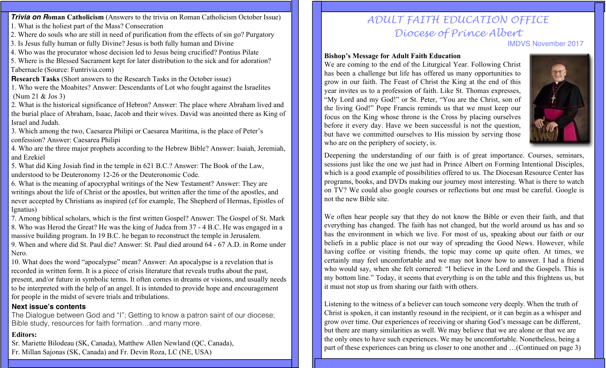**Trivia on Roman Catholicism** (Answers to the trivia on Roman Catholicism October Issue)

- 1. What is the holiest part of the Mass? Consecration
- 2. Where do souls who are still in need of purification from the effects of sin go? Purgatory
- 3. Is Jesus fully human or fully Divine? Jesus is both fully human and Divine
- 4. Who was the procurator whose decision led to Jesus being crucified? Pontius Pilate

5. Where is the Blessed Sacrament kept for later distribution to the sick and for adoration? Tabernacle (Source: Funtrivia.com)

- **Research Tasks** (Short answers to the Research Tasks in the October issue)
- 1. Who were the Moabites? Answer: Descendants of Lot who fought against the Israelites (Num 21 & Jos 3)
- 2. What is the historical significance of Hebron? Answer: The place where Abraham lived and the burial place of Abraham, Isaac, Jacob and their wives. David was anointed there as King of Israel and Judah.
- 3. Which among the two, Caesarea Philipi or Caesarea Maritima, is the place of Peter's confession? Answer: Caesarea Philipi
- 4. Who are the three major prophets according to the Hebrew Bible? Answer: Isaiah, Jeremiah, and Ezekiel
- 5. What did King Josiah find in the temple in 621 B.C.? Answer: The Book of the Law, understood to be Deuteronomy 12-26 or the Deuteronomic Code.
- 6. What is the meaning of apocryphal writings of the New Testament? Answer: They are writings about the life of Christ or the apostles, but written after the time of the apostles, and never accepted by Christians as inspired (cf for example, The Shepherd of Hermas, Epistles of Ignatius)
- 7. Among biblical scholars, which is the first written Gospel? Answer: The Gospel of St. Mark 8. Who was Herod the Great? He was the king of Judea from 37 - 4 B.C. He was engaged in a massive building program. In 19 B.C. he began to reconstruct the temple in Jerusalem. 9. When and where did St. Paul die? Answer: St. Paul died around 64 - 67 A.D. in Rome under Nero.
- 10. What does the word "apocalypse" mean? Answer: An apocalypse is a revelation that is recorded in written form. It is a piece of crisis literature that reveals truths about the past, present, and/or future in symbolic terms. It often comes in dreams or visions, and usually needs to be interpreted with the help of an angel. It is intended to provide hope and encouragement for people in the midst of severe trials and tribulations.

#### **Next issue's contents**

The Dialogue between God and "I"; Getting to know a patron saint of our diocese; Bible study, resources for faith formation…and many more.

### **Editors:**

Sr. Mariette Bilodeau (SK, Canada), Matthew Allen Newland (QC, Canada), Fr. Millan Sajonas (SK, Canada) and Fr. Devin Roza, LC (NE, USA)

# *ADULT FAITH EDUCATION OFFICE Diocese of Prince Albert*

IMDVS November 2017

#### **Bishop's Message for Adult Faith Education**

We are coming to the end of the Liturgical Year. Following Christ has been a challenge but life has offered us many opportunities to grow in our faith. The Feast of Christ the King at the end of this year invites us to a profession of faith. Like St. Thomas expresses, "My Lord and my God!" or St. Peter, "You are the Christ, son of the living God!" Pope Francis reminds us that we must keep our focus on the King whose throne is the Cross by placing ourselves before it every day. Have we been successful is not the question, but have we committed ourselves to His mission by serving those who are on the periphery of society, is.



Deepening the understanding of our faith is of great importance. Courses, seminars, sessions just like the one we just had in Prince Albert on Forming Intentional Disciples, which is a good example of possibilities offered to us. The Diocesan Resource Center has programs, books, and DVDs making our journey most interesting. What is there to watch on TV? We could also google courses or reflections but one must be careful. Google is not the new Bible site.

We often hear people say that they do not know the Bible or even their faith, and that everything has changed. The faith has not changed, but the world around us has and so has the environment in which we live. For most of us, speaking about our faith or our beliefs in a public place is not our way of spreading the Good News. However, while having coffee or visiting friends, the topic may come up quite often. At times, we certainly may feel uncomfortable and we may not know how to answer. I had a friend who would say, when she felt cornered: "I believe in the Lord and the Gospels. This is my bottom line." Today, it seems that everything is on the table and this frightens us, but it must not stop us from sharing our faith with others.

Listening to the witness of a believer can touch someone very deeply. When the truth of Christ is spoken, it can instantly resound in the recipient, or it can begin as a whisper and grow over time. Our experiences of receiving or sharing God's message can be different, but there are many similarities as well. We may believe that we are alone or that we are the only ones to have such experiences. We may be uncomfortable. Nonetheless, being a part of these experiences can bring us closer to one another and …(Continued on page 3)